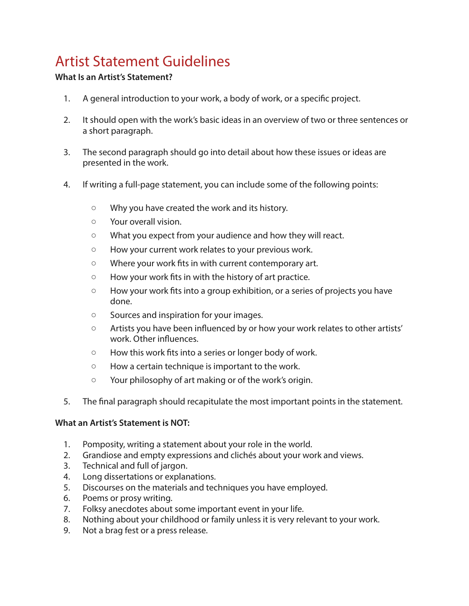# Artist Statement Guidelines

## **What Is an Artist's Statement?**

- 1. A general introduction to your work, a body of work, or a specifc project.
- 2. It should open with the work's basic ideas in an overview of two or three sentences or a short paragraph.
- 3. The second paragraph should go into detail about how these issues or ideas are presented in the work.
- 4. If writing a full-page statement, you can include some of the following points:
	- Why you have created the work and its history.
	- Your overall vision.
	- What you expect from your audience and how they will react.
	- How your current work relates to your previous work.
	- Where your work fts in with current contemporary art.
	- How your work fts in with the history of art practice.
	- How your work fts into a group exhibition, or a series of projects you have done.
	- Sources and inspiration for your images.
	- Artists you have been infuenced by or how your work relates to other artists' work. Other infuences.
	- How this work fts into a series or longer body of work.
	- How a certain technique is important to the work.
	- Your philosophy of art making or of the work's origin.
- 5. The fnal paragraph should recapitulate the most important points in the statement.

#### **What an Artist's Statement is NOT:**

- 1. Pomposity, writing a statement about your role in the world.
- 2. Grandiose and empty expressions and clichés about your work and views.
- 3. Technical and full of jargon.
- 4. Long dissertations or explanations.
- 5. Discourses on the materials and techniques you have employed.
- 6. Poems or prosy writing.
- 7. Folksy anecdotes about some important event in your life.
- 8. Nothing about your childhood or family unless it is very relevant to your work.
- 9. Not a brag fest or a press release.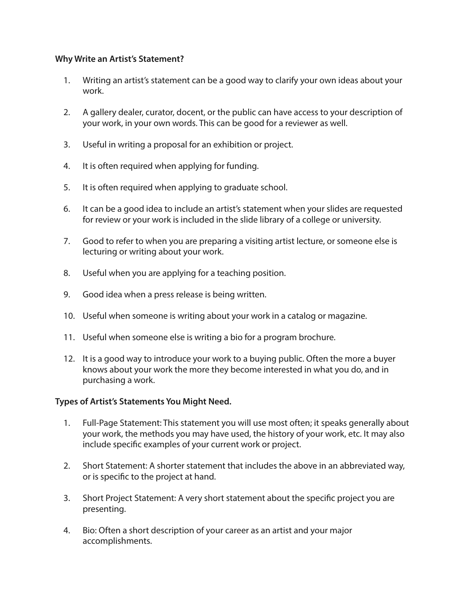### **Why Write an Artist's Statement?**

- 1. Writing an artist's statement can be a good way to clarify your own ideas about your work.
- 2. A gallery dealer, curator, docent, or the public can have access to your description of your work, in your own words. This can be good for a reviewer as well.
- 3. Useful in writing a proposal for an exhibition or project.
- 4. It is often required when applying for funding.
- 5. It is often required when applying to graduate school.
- 6. It can be a good idea to include an artist's statement when your slides are requested for review or your work is included in the slide library of a college or university.
- 7. Good to refer to when you are preparing a visiting artist lecture, or someone else is lecturing or writing about your work.
- 8. Useful when you are applying for a teaching position.
- 9. Good idea when a press release is being written.
- 10. Useful when someone is writing about your work in a catalog or magazine.
- 11. Useful when someone else is writing a bio for a program brochure.
- 12. It is a good way to introduce your work to a buying public. Often the more a buyer knows about your work the more they become interested in what you do, and in purchasing a work.

#### **Types of Artist's Statements You Might Need.**

- 1. Full-Page Statement: This statement you will use most often; it speaks generally about your work, the methods you may have used, the history of your work, etc. It may also include specifc examples of your current work or project.
- 2. Short Statement: A shorter statement that includes the above in an abbreviated way, or is specifc to the project at hand.
- 3. Short Project Statement: A very short statement about the specifc project you are presenting.
- 4. Bio: Often a short description of your career as an artist and your major accomplishments.